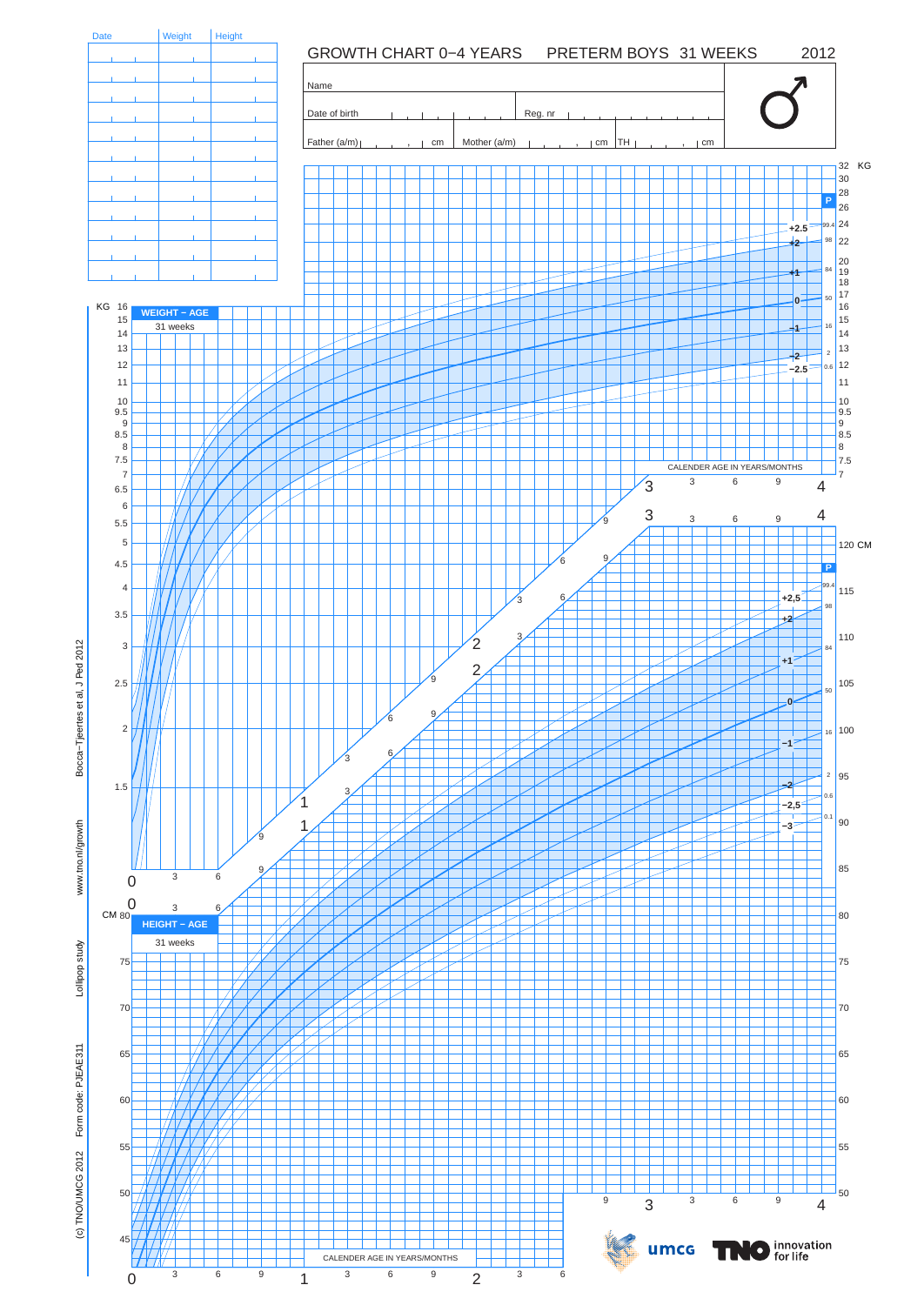